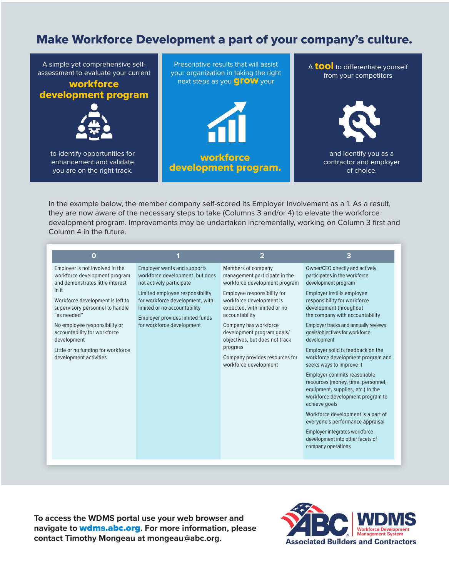# Make Workforce Development a part of your company's culture.

A simple yet comprehensive selfassessment to evaluate your current

# workforce development program



to identify opportunities for enhancement and validate you are on the right track.





A **tool** to differentiate yourself from your competitors



and identify you as a contractor and employer of choice.

In the example below, the member company self-scored its Employer Involvement as a 1. As a result, they are now aware of the necessary steps to take (Columns 3 and/or 4) to elevate the workforce development program. Improvements may be undertaken incrementally, working on Column 3 first and Column 4 in the future.

| O                                                                                                                                                                                                                                                                                                                                                   | и                                                                                                                                                                                                                                                                       | $\overline{2}$                                                                                                                                                                                                                                                                                                                                                    | 3                                                                                                                                                                                                                                                                                                                                                                                                                                                                                                                                                                                                                                                                                                                                                            |
|-----------------------------------------------------------------------------------------------------------------------------------------------------------------------------------------------------------------------------------------------------------------------------------------------------------------------------------------------------|-------------------------------------------------------------------------------------------------------------------------------------------------------------------------------------------------------------------------------------------------------------------------|-------------------------------------------------------------------------------------------------------------------------------------------------------------------------------------------------------------------------------------------------------------------------------------------------------------------------------------------------------------------|--------------------------------------------------------------------------------------------------------------------------------------------------------------------------------------------------------------------------------------------------------------------------------------------------------------------------------------------------------------------------------------------------------------------------------------------------------------------------------------------------------------------------------------------------------------------------------------------------------------------------------------------------------------------------------------------------------------------------------------------------------------|
| Employer is not involved in the<br>workforce development program<br>and demonstrates little interest<br>in it<br>Workforce development is left to<br>supervisory personnel to handle<br>"as needed"<br>No employee responsibility or<br>accountability for workforce<br>development<br>Little or no funding for workforce<br>development activities | <b>Employer wants and supports</b><br>workforce development, but does<br>not actively participate<br>Limited employee responsibility<br>for workforce development, with<br>limited or no accountability<br>Employer provides limited funds<br>for workforce development | Members of company<br>management participate in the<br>workforce development program<br>Employee responsibility for<br>workforce development is<br>expected, with limited or no<br>accountability<br>Company has workforce<br>development program goals/<br>objectives, but does not track<br>progress<br>Company provides resources for<br>workforce development | Owner/CEO directly and actively<br>participates in the workforce<br>development program<br>Employer instills employee<br>responsibility for workforce<br>development throughout<br>the company with accountability<br>Employer tracks and annually reviews<br>goals/objectives for workforce<br>development<br>Employer solicits feedback on the<br>workforce development program and<br>seeks ways to improve it<br><b>Employer commits reasonable</b><br>resources (money, time, personnel,<br>equipment, supplies, etc.) to the<br>workforce development program to<br>achieve goals<br>Workforce development is a part of<br>everyone's performance appraisal<br>Employer integrates workforce<br>development into other facets of<br>company operations |

**To access the WDMS portal use your web browser and navigate to** wdms.abc.org**. For more information, please contact Timothy Mongeau at mongeau@abc.org.**